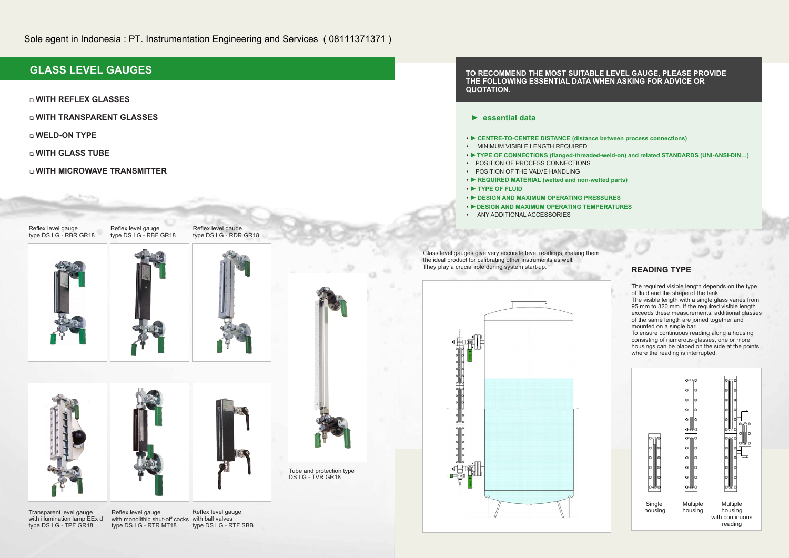# **GLASS LEVEL GAUGES**

1 **WITH REFLEX GLASSES**

- 1 **WITH TRANSPARENT GLASSES**
- 1 **WELD-ON TYPE**
- 1 **WITH GLASS TUBE**
- 1 **WITH MICROWAVE TRANSMITTER**







Reflex level gauge with monolithic shut-off cocks with ball valves type DS LG - RTR MT18



Reflex level gauge type DS LG - RTF SBB

Transparent level gauge with illumination lamp EEx d type DS LG - TPF GR18

## **► essential data**

**►TYPE OF CONNECTIONS (flanged-threaded-weld-on) and related STANDARDS (UNI-ANSI-DIN…) •** 

- **► CENTRE-TO-CENTRE DISTANCE (distance between process connections)**
- MINIMUM VISIBLE LENGTH REQUIRED
- 
- **•** POSITION OF PROCESS CONNECTIONS
- POSITION OF THE VALVE HANDLING
- **►REQUIRED MATERIAL (wetted and non-wetted parts)**
- **►TYPE OF FLUID**
- **►DESIGN AND MAXIMUM OPERATING PRESSURES •**
- **►DESIGN AND MAXIMUM OPERATING TEMPERATURES • •** ANY ADDITIONAL ACCESSORIES
- Glass level gauges give very accurate level readings, making them the ideal product for calibrating other instruments as well. They play a crucial role during system start-up.



## **READING TYPE**

The required visible length depends on the type of fluid and the shape of the tank.

The visible length with a single glass varies from 95 mm to 320 mm. If the required visible length exceeds these measurements, additional glasses of the same length are joined together and mounted on a single bar.

To ensure continuous reading along a housing consisting of numerous glasses, one or more housings can be placed on the side at the points where the reading is interrupted.



# **TO RECOMMEND THE MOST SUITABLE LEVEL GAUGE, PLEASE PROVIDE THE FOLLOWING ESSENTIAL DATA WHEN ASKING FOR ADVICE OR QUOTATION.**